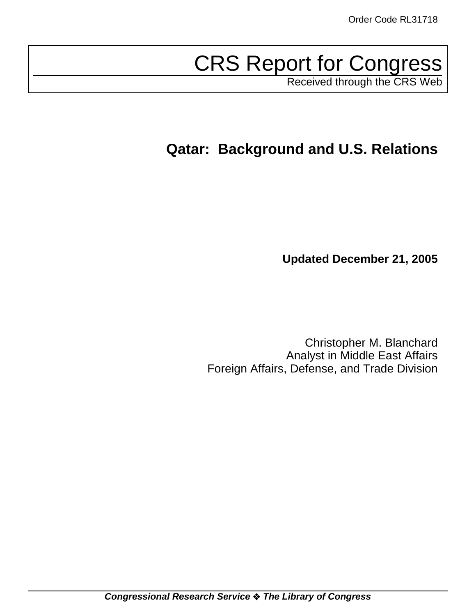# CRS Report for Congress

Received through the CRS Web

# **Qatar: Background and U.S. Relations**

**Updated December 21, 2005**

Christopher M. Blanchard Analyst in Middle East Affairs Foreign Affairs, Defense, and Trade Division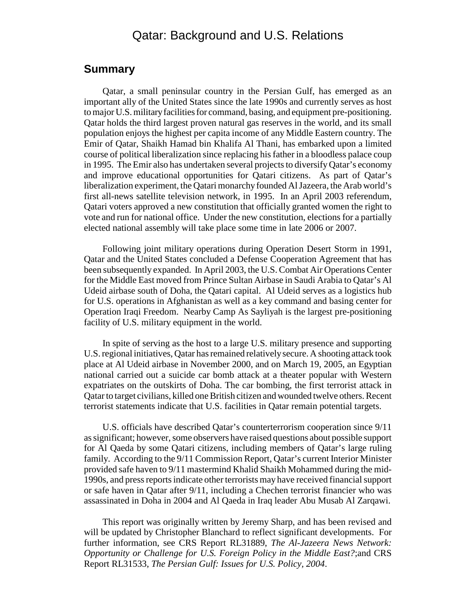#### Qatar: Background and U.S. Relations

#### **Summary**

Qatar, a small peninsular country in the Persian Gulf, has emerged as an important ally of the United States since the late 1990s and currently serves as host to major U.S. military facilities for command, basing, and equipment pre-positioning. Qatar holds the third largest proven natural gas reserves in the world, and its small population enjoys the highest per capita income of any Middle Eastern country. The Emir of Qatar, Shaikh Hamad bin Khalifa Al Thani, has embarked upon a limited course of political liberalization since replacing his father in a bloodless palace coup in 1995. The Emir also has undertaken several projects to diversify Qatar's economy and improve educational opportunities for Qatari citizens. As part of Qatar's liberalization experiment, the Qatari monarchy founded Al Jazeera, the Arab world's first all-news satellite television network, in 1995. In an April 2003 referendum, Qatari voters approved a new constitution that officially granted women the right to vote and run for national office. Under the new constitution, elections for a partially elected national assembly will take place some time in late 2006 or 2007.

Following joint military operations during Operation Desert Storm in 1991, Qatar and the United States concluded a Defense Cooperation Agreement that has been subsequently expanded. In April 2003, the U.S. Combat Air Operations Center for the Middle East moved from Prince Sultan Airbase in Saudi Arabia to Qatar's Al Udeid airbase south of Doha, the Qatari capital. Al Udeid serves as a logistics hub for U.S. operations in Afghanistan as well as a key command and basing center for Operation Iraqi Freedom. Nearby Camp As Sayliyah is the largest pre-positioning facility of U.S. military equipment in the world.

In spite of serving as the host to a large U.S. military presence and supporting U.S. regional initiatives, Qatar has remained relatively secure. A shooting attack took place at Al Udeid airbase in November 2000, and on March 19, 2005, an Egyptian national carried out a suicide car bomb attack at a theater popular with Western expatriates on the outskirts of Doha. The car bombing, the first terrorist attack in Qatar to target civilians, killed one British citizen and wounded twelve others. Recent terrorist statements indicate that U.S. facilities in Qatar remain potential targets.

U.S. officials have described Qatar's counterterrorism cooperation since 9/11 as significant; however, some observers have raised questions about possible support for Al Qaeda by some Qatari citizens, including members of Qatar's large ruling family. According to the 9/11 Commission Report, Qatar's current Interior Minister provided safe haven to 9/11 mastermind Khalid Shaikh Mohammed during the mid-1990s, and press reports indicate other terrorists may have received financial support or safe haven in Qatar after 9/11, including a Chechen terrorist financier who was assassinated in Doha in 2004 and Al Qaeda in Iraq leader Abu Musab Al Zarqawi.

This report was originally written by Jeremy Sharp, and has been revised and will be updated by Christopher Blanchard to reflect significant developments. For further information, see CRS Report RL31889, *The Al-Jazeera News Network: Opportunity or Challenge for U.S. Foreign Policy in the Middle East?*;and CRS Report RL31533, *The Persian Gulf: Issues for U.S. Policy, 2004*.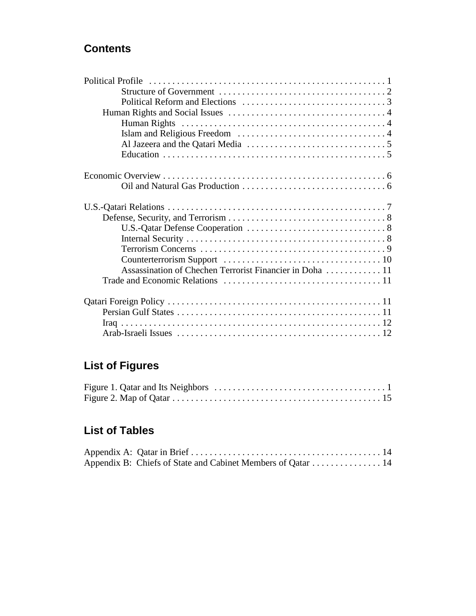## **Contents**

| Assassination of Chechen Terrorist Financier in Doha  11 |
|----------------------------------------------------------|
|                                                          |
|                                                          |
|                                                          |
|                                                          |
|                                                          |
|                                                          |

# **List of Figures**

### **List of Tables**

| Appendix B: Chiefs of State and Cabinet Members of Qatar  14 |  |
|--------------------------------------------------------------|--|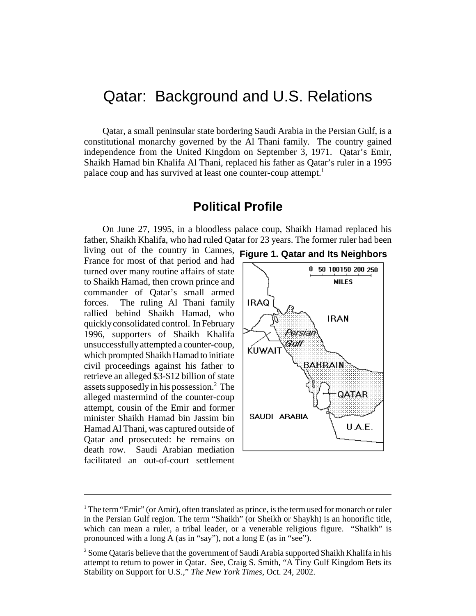# Qatar: Background and U.S. Relations

Qatar, a small peninsular state bordering Saudi Arabia in the Persian Gulf, is a constitutional monarchy governed by the Al Thani family. The country gained independence from the United Kingdom on September 3, 1971. Qatar's Emir, Shaikh Hamad bin Khalifa Al Thani, replaced his father as Qatar's ruler in a 1995 palace coup and has survived at least one counter-coup attempt.<sup>1</sup>

#### **Political Profile**

On June 27, 1995, in a bloodless palace coup, Shaikh Hamad replaced his father, Shaikh Khalifa, who had ruled Qatar for 23 years. The former ruler had been

living out of the country in Cannes, **Figure 1. Qatar and Its Neighbors**France for most of that period and had turned over many routine affairs of state to Shaikh Hamad, then crown prince and commander of Qatar's small armed forces. The ruling Al Thani family rallied behind Shaikh Hamad, who quickly consolidated control. In February 1996, supporters of Shaikh Khalifa unsuccessfully attempted a counter-coup, which prompted Shaikh Hamad to initiate civil proceedings against his father to retrieve an alleged \$3-\$12 billion of state assets supposedly in his possession.<sup>2</sup> The alleged mastermind of the counter-coup attempt, cousin of the Emir and former minister Shaikh Hamad bin Jassim bin Hamad Al Thani, was captured outside of Qatar and prosecuted: he remains on death row. Saudi Arabian mediation facilitated an out-of-court settlement





 $1$  The term "Emir" (or Amir), often translated as prince, is the term used for monarch or ruler in the Persian Gulf region. The term "Shaikh" (or Sheikh or Shaykh) is an honorific title, which can mean a ruler, a tribal leader, or a venerable religious figure. "Shaikh" is pronounced with a long A (as in "say"), not a long E (as in "see").

 $2$  Some Qataris believe that the government of Saudi Arabia supported Shaikh Khalifa in his attempt to return to power in Qatar. See, Craig S. Smith, "A Tiny Gulf Kingdom Bets its Stability on Support for U.S.," *The New York Times*, Oct. 24, 2002.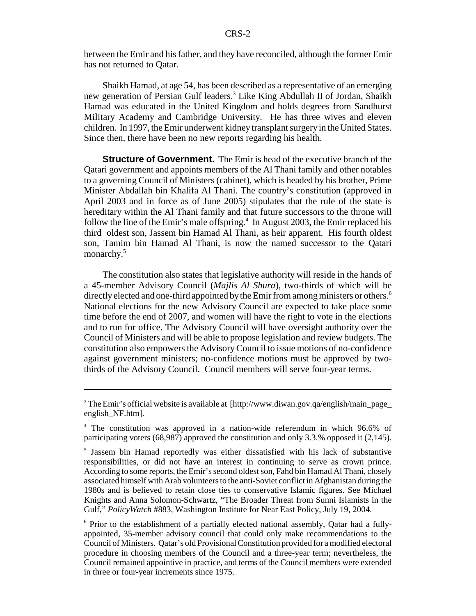between the Emir and his father, and they have reconciled, although the former Emir has not returned to Qatar.

Shaikh Hamad, at age 54, has been described as a representative of an emerging new generation of Persian Gulf leaders.<sup>3</sup> Like King Abdullah II of Jordan, Shaikh Hamad was educated in the United Kingdom and holds degrees from Sandhurst Military Academy and Cambridge University. He has three wives and eleven children. In 1997, the Emir underwent kidney transplant surgery in the United States. Since then, there have been no new reports regarding his health.

**Structure of Government.** The Emir is head of the executive branch of the Qatari government and appoints members of the Al Thani family and other notables to a governing Council of Ministers (cabinet), which is headed by his brother, Prime Minister Abdallah bin Khalifa Al Thani. The country's constitution (approved in April 2003 and in force as of June 2005) stipulates that the rule of the state is hereditary within the Al Thani family and that future successors to the throne will follow the line of the Emir's male offspring.<sup>4</sup> In August 2003, the Emir replaced his third oldest son, Jassem bin Hamad Al Thani, as heir apparent. His fourth oldest son, Tamim bin Hamad Al Thani, is now the named successor to the Qatari monarchy.<sup>5</sup>

The constitution also states that legislative authority will reside in the hands of a 45-member Advisory Council (*Majlis Al Shura*), two-thirds of which will be directly elected and one-third appointed by the Emir from among ministers or others.<sup>6</sup> National elections for the new Advisory Council are expected to take place some time before the end of 2007, and women will have the right to vote in the elections and to run for office. The Advisory Council will have oversight authority over the Council of Ministers and will be able to propose legislation and review budgets. The constitution also empowers the Advisory Council to issue motions of no-confidence against government ministers; no-confidence motions must be approved by twothirds of the Advisory Council. Council members will serve four-year terms.

<sup>6</sup> Prior to the establishment of a partially elected national assembly, Qatar had a fullyappointed, 35-member advisory council that could only make recommendations to the Council of Ministers. Qatar's old Provisional Constitution provided for a modified electoral procedure in choosing members of the Council and a three-year term; nevertheless, the Council remained appointive in practice, and terms of the Council members were extended in three or four-year increments since 1975.

<sup>&</sup>lt;sup>3</sup> The Emir's official website is available at [http://www.diwan.gov.qa/english/main\_page\_ english\_NF.htm].

<sup>4</sup> The constitution was approved in a nation-wide referendum in which 96.6% of participating voters (68,987) approved the constitution and only 3.3.% opposed it (2,145).

<sup>5</sup> Jassem bin Hamad reportedly was either dissatisfied with his lack of substantive responsibilities, or did not have an interest in continuing to serve as crown prince. According to some reports, the Emir's second oldest son, Fahd bin Hamad Al Thani, closely associated himself with Arab volunteers to the anti-Soviet conflict in Afghanistan during the 1980s and is believed to retain close ties to conservative Islamic figures. See Michael Knights and Anna Solomon-Schwartz, "The Broader Threat from Sunni Islamists in the Gulf," *PolicyWatch* #883, Washington Institute for Near East Policy, July 19, 2004.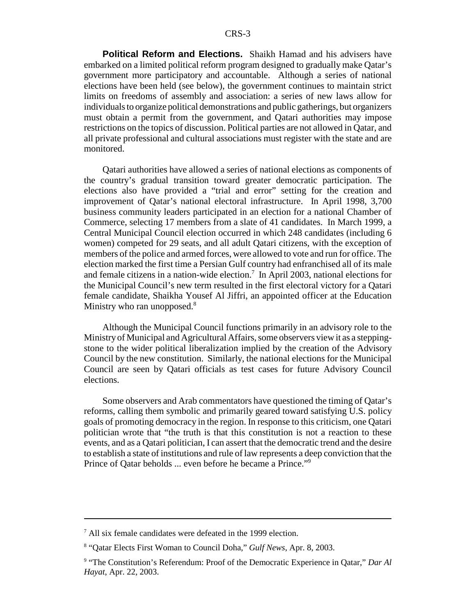**Political Reform and Elections.** Shaikh Hamad and his advisers have embarked on a limited political reform program designed to gradually make Qatar's government more participatory and accountable. Although a series of national elections have been held (see below), the government continues to maintain strict limits on freedoms of assembly and association: a series of new laws allow for individuals to organize political demonstrations and public gatherings, but organizers must obtain a permit from the government, and Qatari authorities may impose restrictions on the topics of discussion. Political parties are not allowed in Qatar, and all private professional and cultural associations must register with the state and are monitored.

Qatari authorities have allowed a series of national elections as components of the country's gradual transition toward greater democratic participation. The elections also have provided a "trial and error" setting for the creation and improvement of Qatar's national electoral infrastructure. In April 1998, 3,700 business community leaders participated in an election for a national Chamber of Commerce, selecting 17 members from a slate of 41 candidates. In March 1999, a Central Municipal Council election occurred in which 248 candidates (including 6 women) competed for 29 seats, and all adult Qatari citizens, with the exception of members of the police and armed forces, were allowed to vote and run for office. The election marked the first time a Persian Gulf country had enfranchised all of its male and female citizens in a nation-wide election.<sup>7</sup> In April 2003, national elections for the Municipal Council's new term resulted in the first electoral victory for a Qatari female candidate, Shaikha Yousef Al Jiffri, an appointed officer at the Education Ministry who ran unopposed. $8$ 

Although the Municipal Council functions primarily in an advisory role to the Ministry of Municipal and Agricultural Affairs, some observers view it as a steppingstone to the wider political liberalization implied by the creation of the Advisory Council by the new constitution. Similarly, the national elections for the Municipal Council are seen by Qatari officials as test cases for future Advisory Council elections.

Some observers and Arab commentators have questioned the timing of Qatar's reforms, calling them symbolic and primarily geared toward satisfying U.S. policy goals of promoting democracy in the region. In response to this criticism, one Qatari politician wrote that "the truth is that this constitution is not a reaction to these events, and as a Qatari politician, I can assert that the democratic trend and the desire to establish a state of institutions and rule of law represents a deep conviction that the Prince of Qatar beholds ... even before he became a Prince."9

<sup>7</sup> All six female candidates were defeated in the 1999 election.

<sup>8</sup> "Qatar Elects First Woman to Council Doha," *Gulf News*, Apr. 8, 2003.

<sup>&</sup>lt;sup>9</sup> "The Constitution's Referendum: Proof of the Democratic Experience in Qatar," Dar Al *Hayat*, Apr. 22, 2003.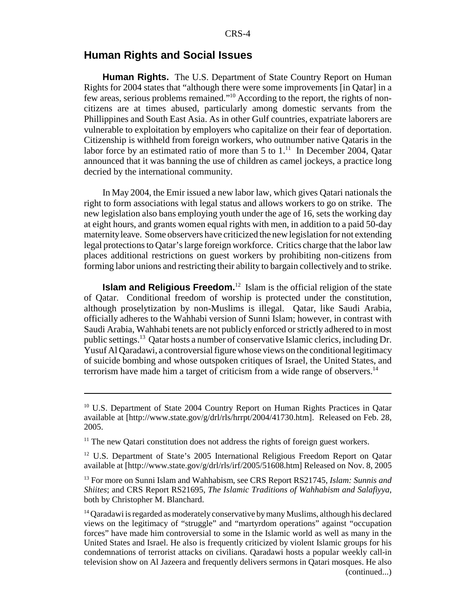#### **Human Rights and Social Issues**

**Human Rights.** The U.S. Department of State Country Report on Human Rights for 2004 states that "although there were some improvements [in Qatar] in a few areas, serious problems remained."10 According to the report, the rights of noncitizens are at times abused, particularly among domestic servants from the Phillippines and South East Asia. As in other Gulf countries, expatriate laborers are vulnerable to exploitation by employers who capitalize on their fear of deportation. Citizenship is withheld from foreign workers, who outnumber native Qataris in the labor force by an estimated ratio of more than 5 to  $1<sup>11</sup>$  In December 2004, Oatar announced that it was banning the use of children as camel jockeys, a practice long decried by the international community.

In May 2004, the Emir issued a new labor law, which gives Qatari nationals the right to form associations with legal status and allows workers to go on strike. The new legislation also bans employing youth under the age of 16, sets the working day at eight hours, and grants women equal rights with men, in addition to a paid 50-day maternity leave. Some observers have criticized the new legislation for not extending legal protections to Qatar's large foreign workforce. Critics charge that the labor law places additional restrictions on guest workers by prohibiting non-citizens from forming labor unions and restricting their ability to bargain collectively and to strike.

**Islam and Religious Freedom.**<sup>12</sup> Islam is the official religion of the state of Qatar. Conditional freedom of worship is protected under the constitution, although proselytization by non-Muslims is illegal. Qatar, like Saudi Arabia, officially adheres to the Wahhabi version of Sunni Islam; however, in contrast with Saudi Arabia, Wahhabi tenets are not publicly enforced or strictly adhered to in most public settings.13 Qatar hosts a number of conservative Islamic clerics, including Dr. Yusuf Al Qaradawi, a controversial figure whose views on the conditional legitimacy of suicide bombing and whose outspoken critiques of Israel, the United States, and terrorism have made him a target of criticism from a wide range of observers.<sup>14</sup>

<sup>&</sup>lt;sup>10</sup> U.S. Department of State 2004 Country Report on Human Rights Practices in Qatar available at [http://www.state.gov/g/drl/rls/hrrpt/2004/41730.htm]. Released on Feb. 28, 2005.

 $11$ <sup>11</sup> The new Qatari constitution does not address the rights of foreign guest workers.

<sup>&</sup>lt;sup>12</sup> U.S. Department of State's 2005 International Religious Freedom Report on Qatar available at [http://www.state.gov/g/drl/rls/irf/2005/51608.htm] Released on Nov. 8, 2005

<sup>13</sup> For more on Sunni Islam and Wahhabism, see CRS Report RS21745, *Islam: Sunnis and Shiites*; and CRS Report RS21695, *The Islamic Traditions of Wahhabism and Salafiyya*, both by Christopher M. Blanchard.

 $14$  Qaradawi is regarded as moderately conservative by many Muslims, although his declared views on the legitimacy of "struggle" and "martyrdom operations" against "occupation forces" have made him controversial to some in the Islamic world as well as many in the United States and Israel. He also is frequently criticized by violent Islamic groups for his condemnations of terrorist attacks on civilians. Qaradawi hosts a popular weekly call-in television show on Al Jazeera and frequently delivers sermons in Qatari mosques. He also (continued...)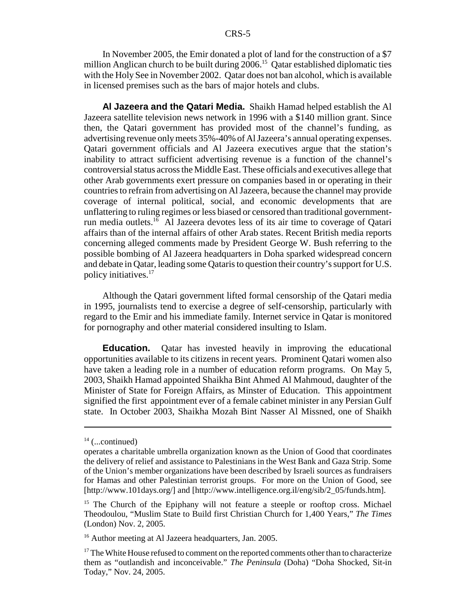In November 2005, the Emir donated a plot of land for the construction of a \$7 million Anglican church to be built during  $2006$ <sup>15</sup> Qatar established diplomatic ties with the Holy See in November 2002. Qatar does not ban alcohol, which is available in licensed premises such as the bars of major hotels and clubs.

**Al Jazeera and the Qatari Media.** Shaikh Hamad helped establish the Al Jazeera satellite television news network in 1996 with a \$140 million grant. Since then, the Qatari government has provided most of the channel's funding, as advertising revenue only meets 35%-40% of Al Jazeera's annual operating expenses. Qatari government officials and Al Jazeera executives argue that the station's inability to attract sufficient advertising revenue is a function of the channel's controversial status across the Middle East. These officials and executives allege that other Arab governments exert pressure on companies based in or operating in their countries to refrain from advertising on Al Jazeera, because the channel may provide coverage of internal political, social, and economic developments that are unflattering to ruling regimes or less biased or censored than traditional governmentrun media outlets.16 Al Jazeera devotes less of its air time to coverage of Qatari affairs than of the internal affairs of other Arab states. Recent British media reports concerning alleged comments made by President George W. Bush referring to the possible bombing of Al Jazeera headquarters in Doha sparked widespread concern and debate in Qatar, leading some Qataris to question their country's support for U.S. policy initiatives.17

Although the Qatari government lifted formal censorship of the Qatari media in 1995, journalists tend to exercise a degree of self-censorship, particularly with regard to the Emir and his immediate family. Internet service in Qatar is monitored for pornography and other material considered insulting to Islam.

**Education.** Qatar has invested heavily in improving the educational opportunities available to its citizens in recent years. Prominent Qatari women also have taken a leading role in a number of education reform programs. On May 5, 2003, Shaikh Hamad appointed Shaikha Bint Ahmed Al Mahmoud, daughter of the Minister of State for Foreign Affairs, as Minster of Education. This appointment signified the first appointment ever of a female cabinet minister in any Persian Gulf state. In October 2003, Shaikha Mozah Bint Nasser Al Missned, one of Shaikh

 $14$  (...continued)

operates a charitable umbrella organization known as the Union of Good that coordinates the delivery of relief and assistance to Palestinians in the West Bank and Gaza Strip. Some of the Union's member organizations have been described by Israeli sources as fundraisers for Hamas and other Palestinian terrorist groups. For more on the Union of Good, see [http://www.101days.org/] and [http://www.intelligence.org.il/eng/sib/2\_05/funds.htm].

<sup>&</sup>lt;sup>15</sup> The Church of the Epiphany will not feature a steeple or rooftop cross. Michael Theodoulou, "Muslim State to Build first Christian Church for 1,400 Years," *The Times* (London) Nov. 2, 2005.

<sup>&</sup>lt;sup>16</sup> Author meeting at Al Jazeera headquarters, Jan. 2005.

 $17$  The White House refused to comment on the reported comments other than to characterize them as "outlandish and inconceivable." *The Peninsula* (Doha) "Doha Shocked, Sit-in Today," Nov. 24, 2005.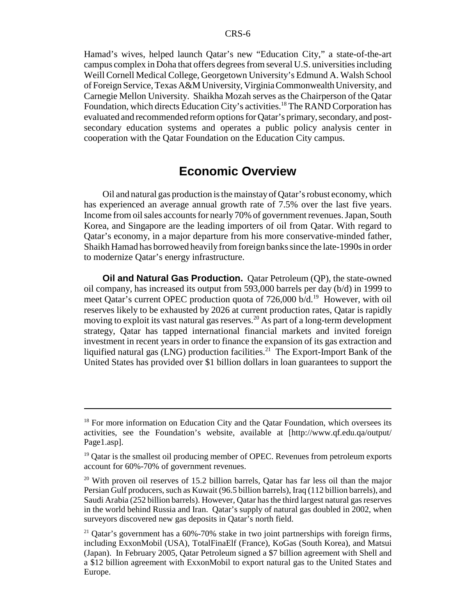Hamad's wives, helped launch Qatar's new "Education City," a state-of-the-art campus complex in Doha that offers degrees from several U.S. universities including Weill Cornell Medical College, Georgetown University's Edmund A. Walsh School of Foreign Service, Texas A&M University, Virginia Commonwealth University, and Carnegie Mellon University. Shaikha Mozah serves as the Chairperson of the Qatar Foundation, which directs Education City's activities.<sup>18</sup> The RAND Corporation has evaluated and recommended reform options for Qatar's primary, secondary, and postsecondary education systems and operates a public policy analysis center in cooperation with the Qatar Foundation on the Education City campus.

#### **Economic Overview**

Oil and natural gas production is the mainstay of Qatar's robust economy, which has experienced an average annual growth rate of 7.5% over the last five years. Income from oil sales accounts for nearly 70% of government revenues. Japan, South Korea, and Singapore are the leading importers of oil from Qatar. With regard to Qatar's economy, in a major departure from his more conservative-minded father, Shaikh Hamad has borrowed heavily from foreign banks since the late-1990s in order to modernize Qatar's energy infrastructure.

**Oil and Natural Gas Production.** Qatar Petroleum (QP), the state-owned oil company, has increased its output from 593,000 barrels per day (b/d) in 1999 to meet Qatar's current OPEC production quota of 726,000 b/d.<sup>19</sup> However, with oil reserves likely to be exhausted by 2026 at current production rates, Qatar is rapidly moving to exploit its vast natural gas reserves.20 As part of a long-term development strategy, Qatar has tapped international financial markets and invited foreign investment in recent years in order to finance the expansion of its gas extraction and liquified natural gas (LNG) production facilities.<sup>21</sup> The Export-Import Bank of the United States has provided over \$1 billion dollars in loan guarantees to support the

<sup>&</sup>lt;sup>18</sup> For more information on Education City and the Qatar Foundation, which oversees its activities, see the Foundation's website, available at [http://www.qf.edu.qa/output/ Page1.asp].

 $19$  Qatar is the smallest oil producing member of OPEC. Revenues from petroleum exports account for 60%-70% of government revenues.

<sup>&</sup>lt;sup>20</sup> With proven oil reserves of 15.2 billion barrels, Qatar has far less oil than the major Persian Gulf producers, such as Kuwait (96.5 billion barrels), Iraq (112 billion barrels), and Saudi Arabia (252 billion barrels). However, Qatar has the third largest natural gas reserves in the world behind Russia and Iran. Qatar's supply of natural gas doubled in 2002, when surveyors discovered new gas deposits in Qatar's north field.

<sup>&</sup>lt;sup>21</sup> Qatar's government has a  $60\% - 70\%$  stake in two joint partnerships with foreign firms, including ExxonMobil (USA), TotalFinaElf (France), KoGas (South Korea), and Matsui (Japan). In February 2005, Qatar Petroleum signed a \$7 billion agreement with Shell and a \$12 billion agreement with ExxonMobil to export natural gas to the United States and Europe.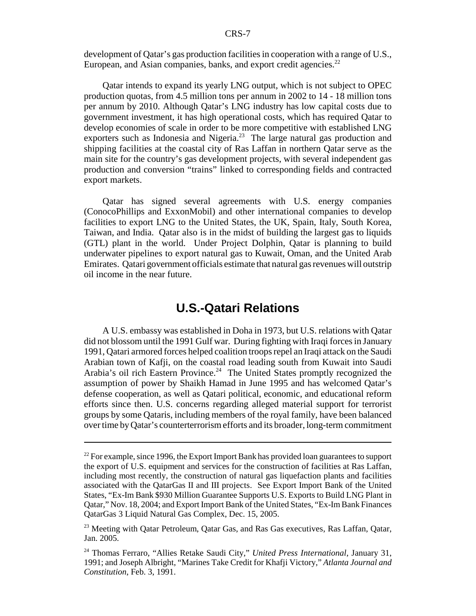development of Qatar's gas production facilities in cooperation with a range of U.S., European, and Asian companies, banks, and export credit agencies.<sup>22</sup>

Qatar intends to expand its yearly LNG output, which is not subject to OPEC production quotas, from 4.5 million tons per annum in 2002 to 14 - 18 million tons per annum by 2010. Although Qatar's LNG industry has low capital costs due to government investment, it has high operational costs, which has required Qatar to develop economies of scale in order to be more competitive with established LNG exporters such as Indonesia and Nigeria.<sup>23</sup> The large natural gas production and shipping facilities at the coastal city of Ras Laffan in northern Qatar serve as the main site for the country's gas development projects, with several independent gas production and conversion "trains" linked to corresponding fields and contracted export markets.

Qatar has signed several agreements with U.S. energy companies (ConocoPhillips and ExxonMobil) and other international companies to develop facilities to export LNG to the United States, the UK, Spain, Italy, South Korea, Taiwan, and India. Qatar also is in the midst of building the largest gas to liquids (GTL) plant in the world. Under Project Dolphin, Qatar is planning to build underwater pipelines to export natural gas to Kuwait, Oman, and the United Arab Emirates. Qatari government officials estimate that natural gas revenues will outstrip oil income in the near future.

#### **U.S.-Qatari Relations**

A U.S. embassy was established in Doha in 1973, but U.S. relations with Qatar did not blossom until the 1991 Gulf war. During fighting with Iraqi forces in January 1991, Qatari armored forces helped coalition troops repel an Iraqi attack on the Saudi Arabian town of Kafji, on the coastal road leading south from Kuwait into Saudi Arabia's oil rich Eastern Province.<sup>24</sup> The United States promptly recognized the assumption of power by Shaikh Hamad in June 1995 and has welcomed Qatar's defense cooperation, as well as Qatari political, economic, and educational reform efforts since then. U.S. concerns regarding alleged material support for terrorist groups by some Qataris, including members of the royal family, have been balanced over time by Qatar's counterterrorism efforts and its broader, long-term commitment

 $^{22}$  For example, since 1996, the Export Import Bank has provided loan guarantees to support the export of U.S. equipment and services for the construction of facilities at Ras Laffan, including most recently, the construction of natural gas liquefaction plants and facilities associated with the QatarGas II and III projects. See Export Import Bank of the United States, "Ex-Im Bank \$930 Million Guarantee Supports U.S. Exports to Build LNG Plant in Qatar," Nov. 18, 2004; and Export Import Bank of the United States, "Ex-Im Bank Finances QatarGas 3 Liquid Natural Gas Complex, Dec. 15, 2005.

<sup>&</sup>lt;sup>23</sup> Meeting with Qatar Petroleum, Qatar Gas, and Ras Gas executives, Ras Laffan, Qatar, Jan. 2005.

<sup>24</sup> Thomas Ferraro, "Allies Retake Saudi City," *United Press International*, January 31, 1991; and Joseph Albright, "Marines Take Credit for Khafji Victory," *Atlanta Journal and Constitution*, Feb. 3, 1991.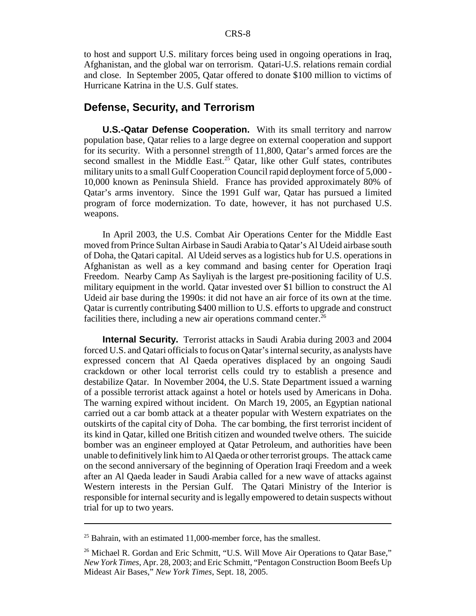to host and support U.S. military forces being used in ongoing operations in Iraq, Afghanistan, and the global war on terrorism. Qatari-U.S. relations remain cordial and close. In September 2005, Qatar offered to donate \$100 million to victims of Hurricane Katrina in the U.S. Gulf states.

#### **Defense, Security, and Terrorism**

**U.S.-Qatar Defense Cooperation.** With its small territory and narrow population base, Qatar relies to a large degree on external cooperation and support for its security. With a personnel strength of 11,800, Qatar's armed forces are the second smallest in the Middle East.<sup>25</sup> Oatar, like other Gulf states, contributes military units to a small Gulf Cooperation Council rapid deployment force of 5,000 - 10,000 known as Peninsula Shield. France has provided approximately 80% of Qatar's arms inventory. Since the 1991 Gulf war, Qatar has pursued a limited program of force modernization. To date, however, it has not purchased U.S. weapons.

In April 2003, the U.S. Combat Air Operations Center for the Middle East moved from Prince Sultan Airbase in Saudi Arabia to Qatar's Al Udeid airbase south of Doha, the Qatari capital. Al Udeid serves as a logistics hub for U.S. operations in Afghanistan as well as a key command and basing center for Operation Iraqi Freedom. Nearby Camp As Sayliyah is the largest pre-positioning facility of U.S. military equipment in the world. Qatar invested over \$1 billion to construct the Al Udeid air base during the 1990s: it did not have an air force of its own at the time. Qatar is currently contributing \$400 million to U.S. efforts to upgrade and construct facilities there, including a new air operations command center.<sup>26</sup>

**Internal Security.** Terrorist attacks in Saudi Arabia during 2003 and 2004 forced U.S. and Qatari officials to focus on Qatar's internal security, as analysts have expressed concern that Al Qaeda operatives displaced by an ongoing Saudi crackdown or other local terrorist cells could try to establish a presence and destabilize Qatar. In November 2004, the U.S. State Department issued a warning of a possible terrorist attack against a hotel or hotels used by Americans in Doha. The warning expired without incident. On March 19, 2005, an Egyptian national carried out a car bomb attack at a theater popular with Western expatriates on the outskirts of the capital city of Doha. The car bombing, the first terrorist incident of its kind in Qatar, killed one British citizen and wounded twelve others. The suicide bomber was an engineer employed at Qatar Petroleum, and authorities have been unable to definitively link him to Al Qaeda or other terrorist groups. The attack came on the second anniversary of the beginning of Operation Iraqi Freedom and a week after an Al Qaeda leader in Saudi Arabia called for a new wave of attacks against Western interests in the Persian Gulf. The Qatari Ministry of the Interior is responsible for internal security and is legally empowered to detain suspects without trial for up to two years.

 $25$  Bahrain, with an estimated 11,000-member force, has the smallest.

<sup>&</sup>lt;sup>26</sup> Michael R. Gordan and Eric Schmitt, "U.S. Will Move Air Operations to Qatar Base," *New York Times*, Apr. 28, 2003; and Eric Schmitt, "Pentagon Construction Boom Beefs Up Mideast Air Bases," *New York Times*, Sept. 18, 2005.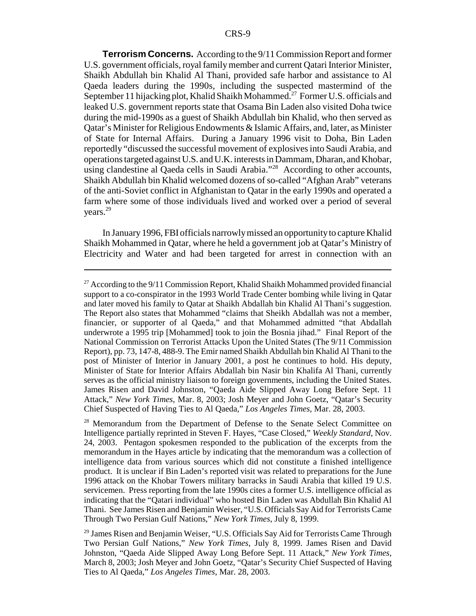**Terrorism Concerns.** According to the 9/11 Commission Report and former U.S. government officials, royal family member and current Qatari Interior Minister, Shaikh Abdullah bin Khalid Al Thani, provided safe harbor and assistance to Al Qaeda leaders during the 1990s, including the suspected mastermind of the September 11 hijacking plot, Khalid Shaikh Mohammed.<sup>27</sup> Former U.S. officials and leaked U.S. government reports state that Osama Bin Laden also visited Doha twice during the mid-1990s as a guest of Shaikh Abdullah bin Khalid, who then served as Qatar's Minister for Religious Endowments & Islamic Affairs, and, later, as Minister of State for Internal Affairs. During a January 1996 visit to Doha, Bin Laden reportedly "discussed the successful movement of explosives into Saudi Arabia, and operations targeted against U.S. and U.K. interests in Dammam, Dharan, and Khobar, using clandestine al Qaeda cells in Saudi Arabia."28 According to other accounts, Shaikh Abdullah bin Khalid welcomed dozens of so-called "Afghan Arab" veterans of the anti-Soviet conflict in Afghanistan to Qatar in the early 1990s and operated a farm where some of those individuals lived and worked over a period of several years.29

In January 1996, FBI officials narrowly missed an opportunity to capture Khalid Shaikh Mohammed in Qatar, where he held a government job at Qatar's Ministry of Electricity and Water and had been targeted for arrest in connection with an

<sup>28</sup> Memorandum from the Department of Defense to the Senate Select Committee on Intelligence partially reprinted in Steven F. Hayes, "Case Closed," *Weekly Standard*, Nov. 24, 2003. Pentagon spokesmen responded to the publication of the excerpts from the memorandum in the Hayes article by indicating that the memorandum was a collection of intelligence data from various sources which did not constitute a finished intelligence product. It is unclear if Bin Laden's reported visit was related to preparations for the June 1996 attack on the Khobar Towers military barracks in Saudi Arabia that killed 19 U.S. servicemen. Press reporting from the late 1990s cites a former U.S. intelligence official as indicating that the "Qatari individual" who hosted Bin Laden was Abdullah Bin Khalid Al Thani. See James Risen and Benjamin Weiser, "U.S. Officials Say Aid for Terrorists Came Through Two Persian Gulf Nations," *New York Times*, July 8, 1999.

 $27$  According to the 9/11 Commission Report, Khalid Shaikh Mohammed provided financial support to a co-conspirator in the 1993 World Trade Center bombing while living in Qatar and later moved his family to Qatar at Shaikh Abdallah bin Khalid Al Thani's suggestion. The Report also states that Mohammed "claims that Sheikh Abdallah was not a member, financier, or supporter of al Qaeda," and that Mohammed admitted "that Abdallah underwrote a 1995 trip [Mohammed] took to join the Bosnia jihad." Final Report of the National Commission on Terrorist Attacks Upon the United States (The 9/11 Commission Report), pp. 73, 147-8, 488-9. The Emir named Shaikh Abdullah bin Khalid Al Thani to the post of Minister of Interior in January 2001, a post he continues to hold. His deputy, Minister of State for Interior Affairs Abdallah bin Nasir bin Khalifa Al Thani, currently serves as the official ministry liaison to foreign governments, including the United States. James Risen and David Johnston, "Qaeda Aide Slipped Away Long Before Sept. 11 Attack," *New York Times*, Mar. 8, 2003; Josh Meyer and John Goetz, "Qatar's Security Chief Suspected of Having Ties to Al Qaeda," *Los Angeles Times*, Mar. 28, 2003.

 $29$  James Risen and Benjamin Weiser, "U.S. Officials Say Aid for Terrorists Came Through Two Persian Gulf Nations," *New York Times*, July 8, 1999. James Risen and David Johnston, "Qaeda Aide Slipped Away Long Before Sept. 11 Attack," *New York Times*, March 8, 2003; Josh Meyer and John Goetz, "Qatar's Security Chief Suspected of Having Ties to Al Qaeda," *Los Angeles Times*, Mar. 28, 2003.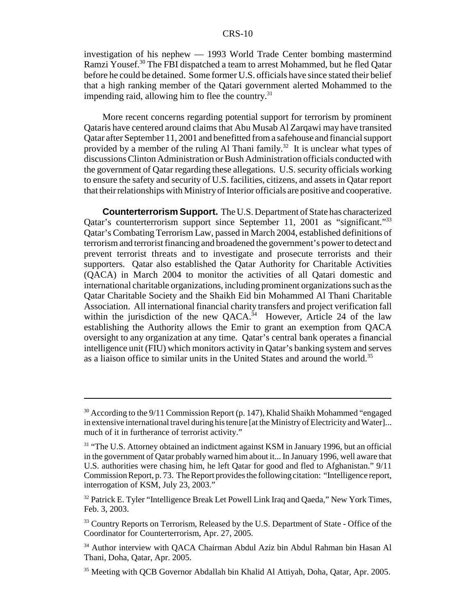investigation of his nephew — 1993 World Trade Center bombing mastermind Ramzi Yousef.<sup>30</sup> The FBI dispatched a team to arrest Mohammed, but he fled Qatar before he could be detained. Some former U.S. officials have since stated their belief that a high ranking member of the Qatari government alerted Mohammed to the impending raid, allowing him to flee the country.<sup>31</sup>

More recent concerns regarding potential support for terrorism by prominent Qataris have centered around claims that Abu Musab Al Zarqawi may have transited Qatar after September 11, 2001 and benefitted from a safehouse and financial support provided by a member of the ruling Al Thani family.<sup>32</sup> It is unclear what types of discussions Clinton Administration or Bush Administration officials conducted with the government of Qatar regarding these allegations. U.S. security officials working to ensure the safety and security of U.S. facilities, citizens, and assets in Qatar report that their relationships with Ministry of Interior officials are positive and cooperative.

**Counterterrorism Support.** The U.S. Department of State has characterized Qatar's counterterrorism support since September 11, 2001 as "significant."<sup>33</sup> Qatar's Combating Terrorism Law, passed in March 2004, established definitions of terrorism and terrorist financing and broadened the government's power to detect and prevent terrorist threats and to investigate and prosecute terrorists and their supporters. Qatar also established the Qatar Authority for Charitable Activities (QACA) in March 2004 to monitor the activities of all Qatari domestic and international charitable organizations, including prominent organizations such as the Qatar Charitable Society and the Shaikh Eid bin Mohammed Al Thani Charitable Association. All international financial charity transfers and project verification fall within the jurisdiction of the new QACA.<sup>34</sup> However, Article 24 of the law establishing the Authority allows the Emir to grant an exemption from QACA oversight to any organization at any time. Qatar's central bank operates a financial intelligence unit (FIU) which monitors activity in Qatar's banking system and serves as a liaison office to similar units in the United States and around the world.<sup>35</sup>

<sup>&</sup>lt;sup>30</sup> According to the 9/11 Commission Report (p. 147), Khalid Shaikh Mohammed "engaged in extensive international travel during his tenure [at the Ministry of Electricity and Water]... much of it in furtherance of terrorist activity."

<sup>&</sup>lt;sup>31</sup> "The U.S. Attorney obtained an indictment against KSM in January 1996, but an official in the government of Qatar probably warned him about it... In January 1996, well aware that U.S. authorities were chasing him, he left Qatar for good and fled to Afghanistan." 9/11 Commission Report, p. 73. The Report provides the following citation: "Intelligence report, interrogation of KSM, July 23, 2003."

 $32$  Patrick E. Tyler "Intelligence Break Let Powell Link Iraq and Qaeda," New York Times, Feb. 3, 2003.

<sup>&</sup>lt;sup>33</sup> Country Reports on Terrorism, Released by the U.S. Department of State - Office of the Coordinator for Counterterrorism, Apr. 27, 2005.

<sup>34</sup> Author interview with QACA Chairman Abdul Aziz bin Abdul Rahman bin Hasan Al Thani, Doha, Qatar, Apr. 2005.

<sup>&</sup>lt;sup>35</sup> Meeting with OCB Governor Abdallah bin Khalid Al Attiyah, Doha, Oatar, Apr. 2005.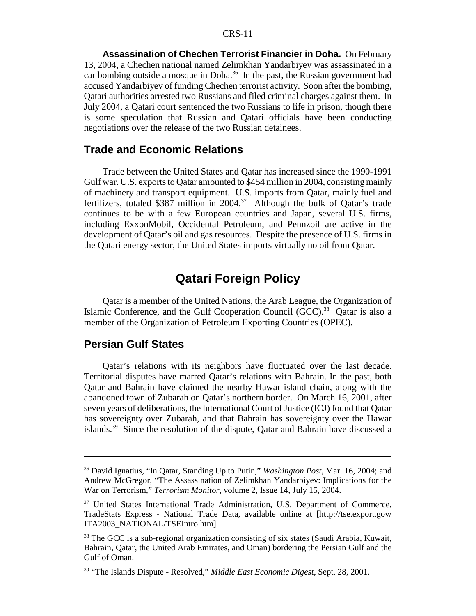**Assassination of Chechen Terrorist Financier in Doha.** On February 13, 2004, a Chechen national named Zelimkhan Yandarbiyev was assassinated in a car bombing outside a mosque in Doha.<sup>36</sup> In the past, the Russian government had accused Yandarbiyev of funding Chechen terrorist activity. Soon after the bombing, Qatari authorities arrested two Russians and filed criminal charges against them. In July 2004, a Qatari court sentenced the two Russians to life in prison, though there is some speculation that Russian and Qatari officials have been conducting negotiations over the release of the two Russian detainees.

#### **Trade and Economic Relations**

Trade between the United States and Qatar has increased since the 1990-1991 Gulf war. U.S. exports to Qatar amounted to \$454 million in 2004, consisting mainly of machinery and transport equipment. U.S. imports from Qatar, mainly fuel and fertilizers, totaled \$387 million in 2004.<sup>37</sup> Although the bulk of Oatar's trade continues to be with a few European countries and Japan, several U.S. firms, including ExxonMobil, Occidental Petroleum, and Pennzoil are active in the development of Qatar's oil and gas resources. Despite the presence of U.S. firms in the Qatari energy sector, the United States imports virtually no oil from Qatar.

#### **Qatari Foreign Policy**

Qatar is a member of the United Nations, the Arab League, the Organization of Islamic Conference, and the Gulf Cooperation Council (GCC).<sup>38</sup> Qatar is also a member of the Organization of Petroleum Exporting Countries (OPEC).

#### **Persian Gulf States**

Qatar's relations with its neighbors have fluctuated over the last decade. Territorial disputes have marred Qatar's relations with Bahrain. In the past, both Qatar and Bahrain have claimed the nearby Hawar island chain, along with the abandoned town of Zubarah on Qatar's northern border. On March 16, 2001, after seven years of deliberations, the International Court of Justice (ICJ) found that Qatar has sovereignty over Zubarah, and that Bahrain has sovereignty over the Hawar islands.39 Since the resolution of the dispute, Qatar and Bahrain have discussed a

<sup>36</sup> David Ignatius, "In Qatar, Standing Up to Putin," *Washington Post*, Mar. 16, 2004; and Andrew McGregor, "The Assassination of Zelimkhan Yandarbiyev: Implications for the War on Terrorism," *Terrorism Monitor*, volume 2, Issue 14, July 15, 2004.

<sup>&</sup>lt;sup>37</sup> United States International Trade Administration, U.S. Department of Commerce, TradeStats Express - National Trade Data, available online at [http://tse.export.gov/ ITA2003\_NATIONAL/TSEIntro.htm].

<sup>&</sup>lt;sup>38</sup> The GCC is a sub-regional organization consisting of six states (Saudi Arabia, Kuwait, Bahrain, Qatar, the United Arab Emirates, and Oman) bordering the Persian Gulf and the Gulf of Oman.

<sup>39 &</sup>quot;The Islands Dispute - Resolved," *Middle East Economic Digest*, Sept. 28, 2001.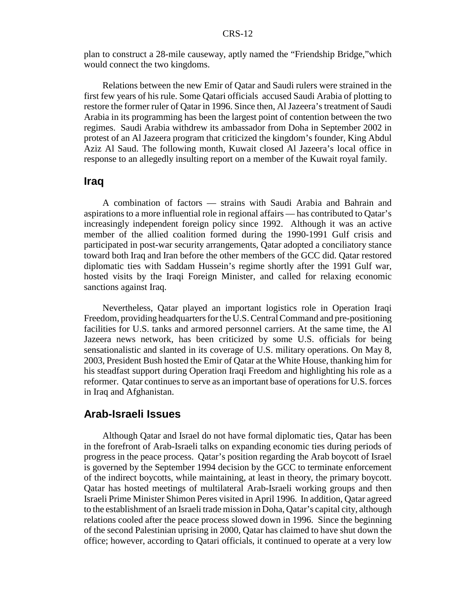plan to construct a 28-mile causeway, aptly named the "Friendship Bridge,"which would connect the two kingdoms.

Relations between the new Emir of Qatar and Saudi rulers were strained in the first few years of his rule. Some Qatari officials accused Saudi Arabia of plotting to restore the former ruler of Qatar in 1996. Since then, Al Jazeera's treatment of Saudi Arabia in its programming has been the largest point of contention between the two regimes. Saudi Arabia withdrew its ambassador from Doha in September 2002 in protest of an Al Jazeera program that criticized the kingdom's founder, King Abdul Aziz Al Saud. The following month, Kuwait closed Al Jazeera's local office in response to an allegedly insulting report on a member of the Kuwait royal family.

#### **Iraq**

A combination of factors — strains with Saudi Arabia and Bahrain and aspirations to a more influential role in regional affairs — has contributed to Qatar's increasingly independent foreign policy since 1992. Although it was an active member of the allied coalition formed during the 1990-1991 Gulf crisis and participated in post-war security arrangements, Qatar adopted a conciliatory stance toward both Iraq and Iran before the other members of the GCC did. Qatar restored diplomatic ties with Saddam Hussein's regime shortly after the 1991 Gulf war, hosted visits by the Iraqi Foreign Minister, and called for relaxing economic sanctions against Iraq.

Nevertheless, Qatar played an important logistics role in Operation Iraqi Freedom, providing headquarters for the U.S. Central Command and pre-positioning facilities for U.S. tanks and armored personnel carriers. At the same time, the Al Jazeera news network, has been criticized by some U.S. officials for being sensationalistic and slanted in its coverage of U.S. military operations. On May 8, 2003, President Bush hosted the Emir of Qatar at the White House, thanking him for his steadfast support during Operation Iraqi Freedom and highlighting his role as a reformer. Qatar continues to serve as an important base of operations for U.S. forces in Iraq and Afghanistan.

#### **Arab-Israeli Issues**

Although Qatar and Israel do not have formal diplomatic ties, Qatar has been in the forefront of Arab-Israeli talks on expanding economic ties during periods of progress in the peace process. Qatar's position regarding the Arab boycott of Israel is governed by the September 1994 decision by the GCC to terminate enforcement of the indirect boycotts, while maintaining, at least in theory, the primary boycott. Qatar has hosted meetings of multilateral Arab-Israeli working groups and then Israeli Prime Minister Shimon Peres visited in April 1996. In addition, Qatar agreed to the establishment of an Israeli trade mission in Doha, Qatar's capital city, although relations cooled after the peace process slowed down in 1996. Since the beginning of the second Palestinian uprising in 2000, Qatar has claimed to have shut down the office; however, according to Qatari officials, it continued to operate at a very low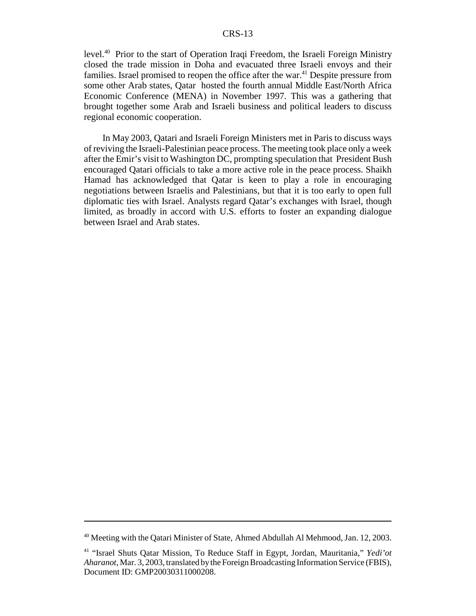#### CRS-13

level.40 Prior to the start of Operation Iraqi Freedom, the Israeli Foreign Ministry closed the trade mission in Doha and evacuated three Israeli envoys and their families. Israel promised to reopen the office after the war.<sup>41</sup> Despite pressure from some other Arab states, Qatar hosted the fourth annual Middle East/North Africa Economic Conference (MENA) in November 1997. This was a gathering that brought together some Arab and Israeli business and political leaders to discuss regional economic cooperation.

In May 2003, Qatari and Israeli Foreign Ministers met in Paris to discuss ways of reviving the Israeli-Palestinian peace process. The meeting took place only a week after the Emir's visit to Washington DC, prompting speculation that President Bush encouraged Qatari officials to take a more active role in the peace process. Shaikh Hamad has acknowledged that Qatar is keen to play a role in encouraging negotiations between Israelis and Palestinians, but that it is too early to open full diplomatic ties with Israel. Analysts regard Qatar's exchanges with Israel, though limited, as broadly in accord with U.S. efforts to foster an expanding dialogue between Israel and Arab states.

<sup>40</sup> Meeting with the Qatari Minister of State, Ahmed Abdullah Al Mehmood, Jan. 12, 2003.

<sup>41 &</sup>quot;Israel Shuts Qatar Mission, To Reduce Staff in Egypt, Jordan, Mauritania," *Yedi'ot Aharanot*, Mar. 3, 2003, translated by the Foreign Broadcasting Information Service (FBIS), Document ID: GMP20030311000208.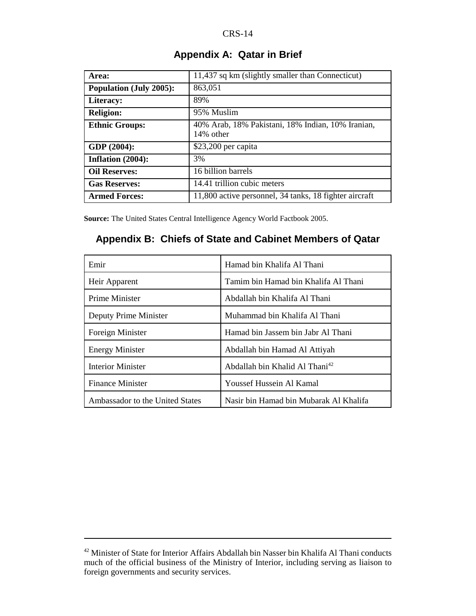| Area:                          | 11,437 sq km (slightly smaller than Connecticut)               |
|--------------------------------|----------------------------------------------------------------|
| <b>Population (July 2005):</b> | 863,051                                                        |
| Literacy:                      | 89%                                                            |
| <b>Religion:</b>               | 95% Muslim                                                     |
| <b>Ethnic Groups:</b>          | 40% Arab, 18% Pakistani, 18% Indian, 10% Iranian,<br>14% other |
| GDP (2004):                    | $$23,200$ per capita                                           |
| Inflation (2004):              | 3%                                                             |
| <b>Oil Reserves:</b>           | 16 billion barrels                                             |
| <b>Gas Reserves:</b>           | 14.41 trillion cubic meters                                    |
| <b>Armed Forces:</b>           | 11,800 active personnel, 34 tanks, 18 fighter aircraft         |

#### **Appendix A: Qatar in Brief**

**Source:** The United States Central Intelligence Agency World Factbook 2005.

#### **Appendix B: Chiefs of State and Cabinet Members of Qatar**

| Emir                            | Hamad bin Khalifa Al Thani                 |
|---------------------------------|--------------------------------------------|
| Heir Apparent                   | Tamim bin Hamad bin Khalifa Al Thani       |
| Prime Minister                  | Abdallah bin Khalifa Al Thani              |
| Deputy Prime Minister           | Muhammad bin Khalifa Al Thani              |
| Foreign Minister                | Hamad bin Jassem bin Jabr Al Thani         |
| <b>Energy Minister</b>          | Abdallah bin Hamad Al Attiyah              |
| <b>Interior Minister</b>        | Abdallah bin Khalid Al Thani <sup>42</sup> |
| <b>Finance Minister</b>         | Youssef Hussein Al Kamal                   |
| Ambassador to the United States | Nasir bin Hamad bin Mubarak Al Khalifa     |

<sup>42</sup> Minister of State for Interior Affairs Abdallah bin Nasser bin Khalifa Al Thani conducts much of the official business of the Ministry of Interior, including serving as liaison to foreign governments and security services.